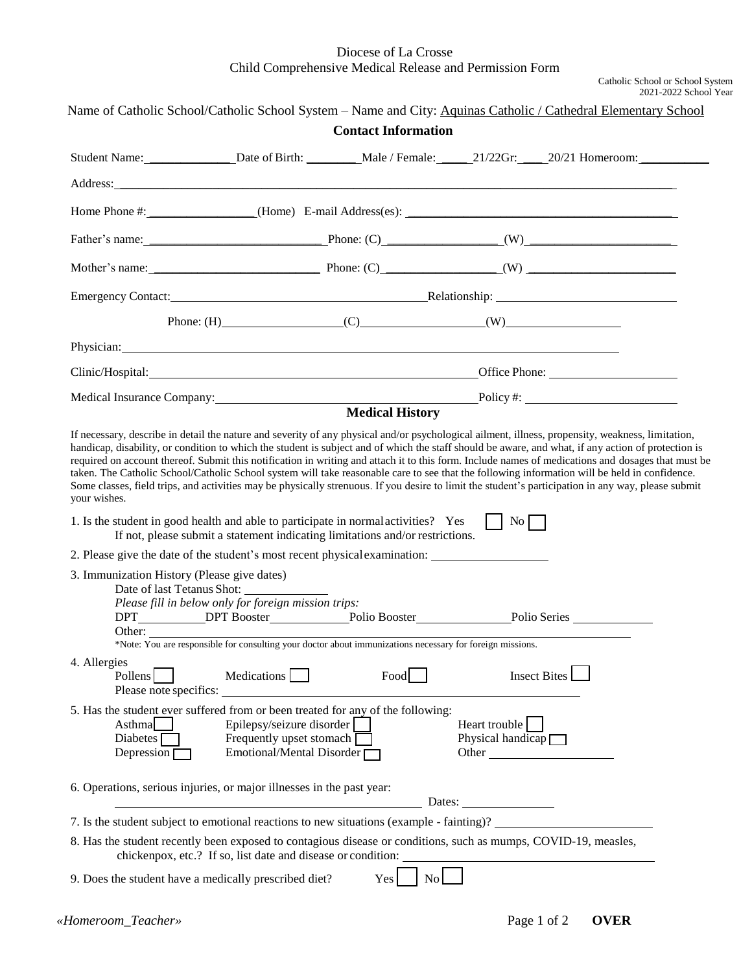## Diocese of La Crosse Child Comprehensive Medical Release and Permission Form

| Catholic School or School System |  |
|----------------------------------|--|
| 2021-2022 School Year            |  |

|                                                                                                                                                                                                                                                           |                                                                                    | <b>Contact Information</b>                                                                          |                                                    |                                                                                                                                                                                                                                |  |  |
|-----------------------------------------------------------------------------------------------------------------------------------------------------------------------------------------------------------------------------------------------------------|------------------------------------------------------------------------------------|-----------------------------------------------------------------------------------------------------|----------------------------------------------------|--------------------------------------------------------------------------------------------------------------------------------------------------------------------------------------------------------------------------------|--|--|
|                                                                                                                                                                                                                                                           |                                                                                    |                                                                                                     |                                                    | Student Name: _________________Date of Birth: _________Male / Female: ______21/22Gr: _____20/21 Homeroom:                                                                                                                      |  |  |
|                                                                                                                                                                                                                                                           |                                                                                    |                                                                                                     |                                                    |                                                                                                                                                                                                                                |  |  |
|                                                                                                                                                                                                                                                           |                                                                                    |                                                                                                     |                                                    |                                                                                                                                                                                                                                |  |  |
|                                                                                                                                                                                                                                                           |                                                                                    |                                                                                                     |                                                    |                                                                                                                                                                                                                                |  |  |
|                                                                                                                                                                                                                                                           |                                                                                    |                                                                                                     |                                                    |                                                                                                                                                                                                                                |  |  |
|                                                                                                                                                                                                                                                           |                                                                                    | Emergency Contact: <u>Contactional Control of Contactional Relationship:</u>                        |                                                    |                                                                                                                                                                                                                                |  |  |
|                                                                                                                                                                                                                                                           |                                                                                    | Phone: (H) $(C)$ $(W)$ $(W)$                                                                        |                                                    |                                                                                                                                                                                                                                |  |  |
| Physician: New York: New York: New York: New York: New York: New York: New York: New York: New York: New York: New York: New York: New York: New York: New York: New York: New York: New York: New York: New York: New York: N                            |                                                                                    |                                                                                                     |                                                    |                                                                                                                                                                                                                                |  |  |
|                                                                                                                                                                                                                                                           |                                                                                    |                                                                                                     |                                                    | Clinic/Hospital: Clinic/Hospital: Clinic/Hospital: Clinic/Hospital: Clinic/Hospital: Clinic/Hospital: Clinic/Hospital: Clinic/Hospital: Clinic/Hospital: Clinic/Hospital: Clinic/Hospital: Clinic/Hospital: Clinic/Hospital: C |  |  |
|                                                                                                                                                                                                                                                           |                                                                                    | <b>Medical History</b>                                                                              |                                                    | Medical Insurance Company: Policy #: Policy #:                                                                                                                                                                                 |  |  |
| your wishes.<br>1. Is the student in good health and able to participate in normal activities? Yes<br>2. Please give the date of the student's most recent physical examination: _________________________<br>3. Immunization History (Please give dates) |                                                                                    | If not, please submit a statement indicating limitations and/or restrictions.                       | $\vert$ No $\vert$                                 | Some classes, field trips, and activities may be physically strenuous. If you desire to limit the student's participation in any way, please submit                                                                            |  |  |
|                                                                                                                                                                                                                                                           | Date of last Tetanus Shot:<br>Please fill in below only for foreign mission trips: | DPT_________DPT Booster____________Polio Booster__________________Polio Series ____________________ |                                                    |                                                                                                                                                                                                                                |  |  |
| 4. Allergies<br>Pollens<br>Please note specifics:                                                                                                                                                                                                         | Medications                                                                        | Food                                                                                                |                                                    | <b>Insect Bites</b>                                                                                                                                                                                                            |  |  |
| 5. Has the student ever suffered from or been treated for any of the following:<br><b>Asthma</b><br>Diabetes<br>Depression $\Gamma$                                                                                                                       | Epilepsy/seizure disorder<br>Frequently upset stomach<br>Emotional/Mental Disorder |                                                                                                     | Heart trouble<br>Physical handicap $\Box$<br>Other |                                                                                                                                                                                                                                |  |  |
| 6. Operations, serious injuries, or major illnesses in the past year:                                                                                                                                                                                     |                                                                                    |                                                                                                     |                                                    |                                                                                                                                                                                                                                |  |  |
| 7. Is the student subject to emotional reactions to new situations (example - fainting)?                                                                                                                                                                  |                                                                                    |                                                                                                     |                                                    |                                                                                                                                                                                                                                |  |  |
| 8. Has the student recently been exposed to contagious disease or conditions, such as mumps, COVID-19, measles,                                                                                                                                           | chickenpox, etc.? If so, list date and disease or condition:                       |                                                                                                     |                                                    |                                                                                                                                                                                                                                |  |  |
| 9. Does the student have a medically prescribed diet?                                                                                                                                                                                                     |                                                                                    | Yes<br>$\rm{No}$                                                                                    |                                                    |                                                                                                                                                                                                                                |  |  |